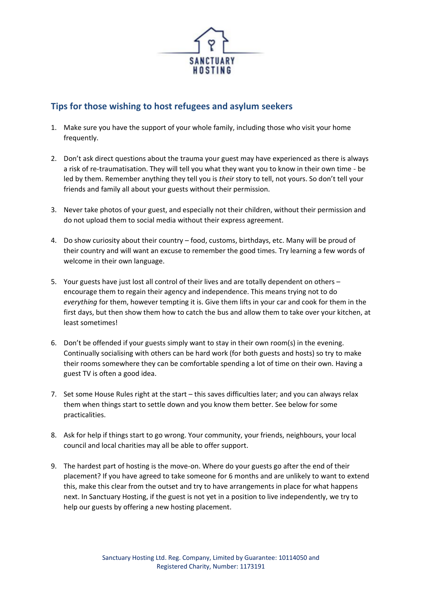

# **Tips for those wishing to host refugees and asylum seekers**

- 1. Make sure you have the support of your whole family, including those who visit your home frequently.
- 2. Don't ask direct questions about the trauma your guest may have experienced as there is always a risk of re-traumatisation. They will tell you what they want you to know in their own time - be led by them. Remember anything they tell you is *their* story to tell, not yours. So don't tell your friends and family all about your guests without their permission.
- 3. Never take photos of your guest, and especially not their children, without their permission and do not upload them to social media without their express agreement.
- 4. Do show curiosity about their country food, customs, birthdays, etc. Many will be proud of their country and will want an excuse to remember the good times. Try learning a few words of welcome in their own language.
- 5. Your guests have just lost all control of their lives and are totally dependent on others encourage them to regain their agency and independence. This means trying not to do *everything* for them, however tempting it is. Give them lifts in your car and cook for them in the first days, but then show them how to catch the bus and allow them to take over your kitchen, at least sometimes!
- 6. Don't be offended if your guests simply want to stay in their own room(s) in the evening. Continually socialising with others can be hard work (for both guests and hosts) so try to make their rooms somewhere they can be comfortable spending a lot of time on their own. Having a guest TV is often a good idea.
- 7. Set some House Rules right at the start this saves difficulties later; and you can always relax them when things start to settle down and you know them better. See below for some practicalities.
- 8. Ask for help if things start to go wrong. Your community, your friends, neighbours, your local council and local charities may all be able to offer support.
- 9. The hardest part of hosting is the move-on. Where do your guests go after the end of their placement? If you have agreed to take someone for 6 months and are unlikely to want to extend this, make this clear from the outset and try to have arrangements in place for what happens next. In Sanctuary Hosting, if the guest is not yet in a position to live independently, we try to help our guests by offering a new hosting placement.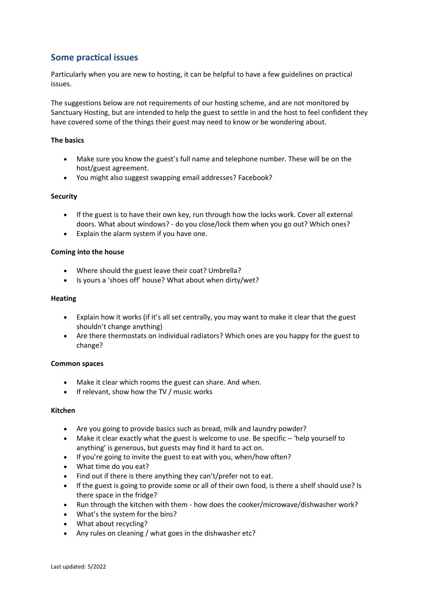# **Some practical issues**

Particularly when you are new to hosting, it can be helpful to have a few guidelines on practical issues.

The suggestions below are not requirements of our hosting scheme, and are not monitored by Sanctuary Hosting, but are intended to help the guest to settle in and the host to feel confident they have covered some of the things their guest may need to know or be wondering about.

## **The basics**

- Make sure you know the guest's full name and telephone number. These will be on the host/guest agreement.
- You might also suggest swapping email addresses? Facebook?

## **Security**

- If the guest is to have their own key, run through how the locks work. Cover all external doors. What about windows? - do you close/lock them when you go out? Which ones?
- Explain the alarm system if you have one.

## **Coming into the house**

- Where should the guest leave their coat? Umbrella?
- Is yours a 'shoes off' house? What about when dirty/wet?

#### **Heating**

- Explain how it works (if it's all set centrally, you may want to make it clear that the guest shouldn't change anything)
- Are there thermostats on individual radiators? Which ones are you happy for the guest to change?

## **Common spaces**

- Make it clear which rooms the guest can share. And when.
- If relevant, show how the TV / music works

## **Kitchen**

- Are you going to provide basics such as bread, milk and laundry powder?
- Make it clear exactly what the guest is welcome to use. Be specific 'help yourself to anything' is generous, but guests may find it hard to act on.
- If you're going to invite the guest to eat with you, when/how often?
- What time do you eat?
- Find out if there is there anything they can't/prefer not to eat.
- If the guest is going to provide some or all of their own food, is there a shelf should use? Is there space in the fridge?
- Run through the kitchen with them how does the cooker/microwave/dishwasher work?
- What's the system for the bins?
- What about recycling?
- Any rules on cleaning / what goes in the dishwasher etc?